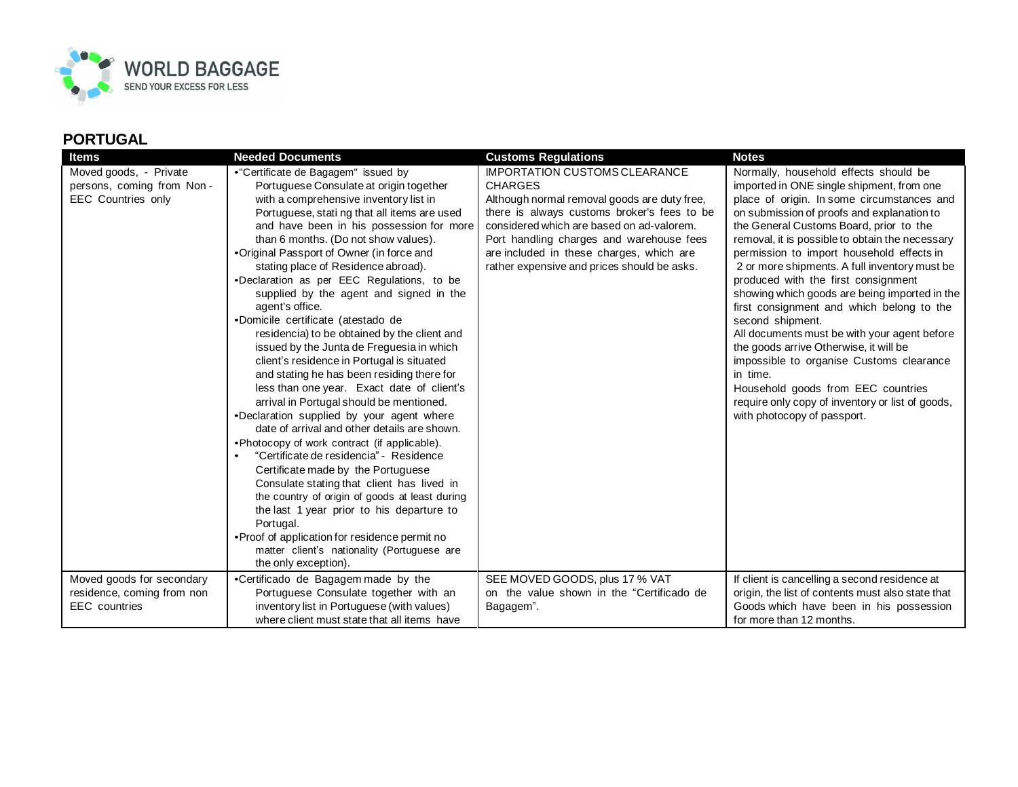

| <b>Items</b>                                                                     | <b>Needed Documents</b>                                                                                                                                                                                                                                                                                                                                                                                                                                                                                       | <b>Customs Regulations</b>                                                                                                                                                                                                                                                                                                                | <b>Notes</b>                                                                                                                                                                                                                                                                                                                                                                                                                                                                                                                        |
|----------------------------------------------------------------------------------|---------------------------------------------------------------------------------------------------------------------------------------------------------------------------------------------------------------------------------------------------------------------------------------------------------------------------------------------------------------------------------------------------------------------------------------------------------------------------------------------------------------|-------------------------------------------------------------------------------------------------------------------------------------------------------------------------------------------------------------------------------------------------------------------------------------------------------------------------------------------|-------------------------------------------------------------------------------------------------------------------------------------------------------------------------------------------------------------------------------------------------------------------------------------------------------------------------------------------------------------------------------------------------------------------------------------------------------------------------------------------------------------------------------------|
| Moved goods, - Private<br>persons, coming from Non-<br><b>EEC Countries only</b> | •"Certificate de Bagagem" issued by<br>Portuguese Consulate at origin together<br>with a comprehensive inventory list in<br>Portuguese, stating that all items are used<br>and have been in his possession for more<br>than 6 months. (Do not show values).<br>•Original Passport of Owner (in force and<br>stating place of Residence abroad).<br>.Declaration as per EEC Regulations, to be<br>supplied by the agent and signed in the<br>agent's office.<br>•Domicile certificate (atestado de             | <b>IMPORTATION CUSTOMS CLEARANCE</b><br><b>CHARGES</b><br>Although normal removal goods are duty free,<br>there is always customs broker's fees to be<br>considered which are based on ad-valorem.<br>Port handling charges and warehouse fees<br>are included in these charges, which are<br>rather expensive and prices should be asks. | Normally, household effects should be<br>imported in ONE single shipment, from one<br>place of origin. In some circumstances and<br>on submission of proofs and explanation to<br>the General Customs Board, prior to the<br>removal, it is possible to obtain the necessary<br>permission to import household effects in<br>2 or more shipments. A full inventory must be<br>produced with the first consignment<br>showing which goods are being imported in the<br>first consignment and which belong to the<br>second shipment. |
|                                                                                  | residencia) to be obtained by the client and<br>issued by the Junta de Freguesia in which<br>client's residence in Portugal is situated<br>and stating he has been residing there for<br>less than one year. Exact date of client's<br>arrival in Portugal should be mentioned.<br>•Declaration supplied by your agent where<br>date of arrival and other details are shown.<br>•Photocopy of work contract (if applicable).<br>"Certificate de residencia" - Residence<br>Certificate made by the Portuguese |                                                                                                                                                                                                                                                                                                                                           | All documents must be with your agent before<br>the goods arrive Otherwise, it will be<br>impossible to organise Customs clearance<br>in time.<br>Household goods from EEC countries<br>require only copy of inventory or list of goods,<br>with photocopy of passport.                                                                                                                                                                                                                                                             |
|                                                                                  | Consulate stating that client has lived in<br>the country of origin of goods at least during<br>the last 1 year prior to his departure to<br>Portugal.<br>• Proof of application for residence permit no<br>matter client's nationality (Portuguese are<br>the only exception).                                                                                                                                                                                                                               |                                                                                                                                                                                                                                                                                                                                           |                                                                                                                                                                                                                                                                                                                                                                                                                                                                                                                                     |
| Moved goods for secondary<br>residence, coming from non<br>EEC countries         | •Certificado de Bagagem made by the<br>Portuguese Consulate together with an<br>inventory list in Portuguese (with values)<br>where client must state that all items have                                                                                                                                                                                                                                                                                                                                     | SEE MOVED GOODS, plus 17 % VAT<br>on the value shown in the "Certificado de<br>Bagagem".                                                                                                                                                                                                                                                  | If client is cancelling a second residence at<br>origin, the list of contents must also state that<br>Goods which have been in his possession<br>for more than 12 months.                                                                                                                                                                                                                                                                                                                                                           |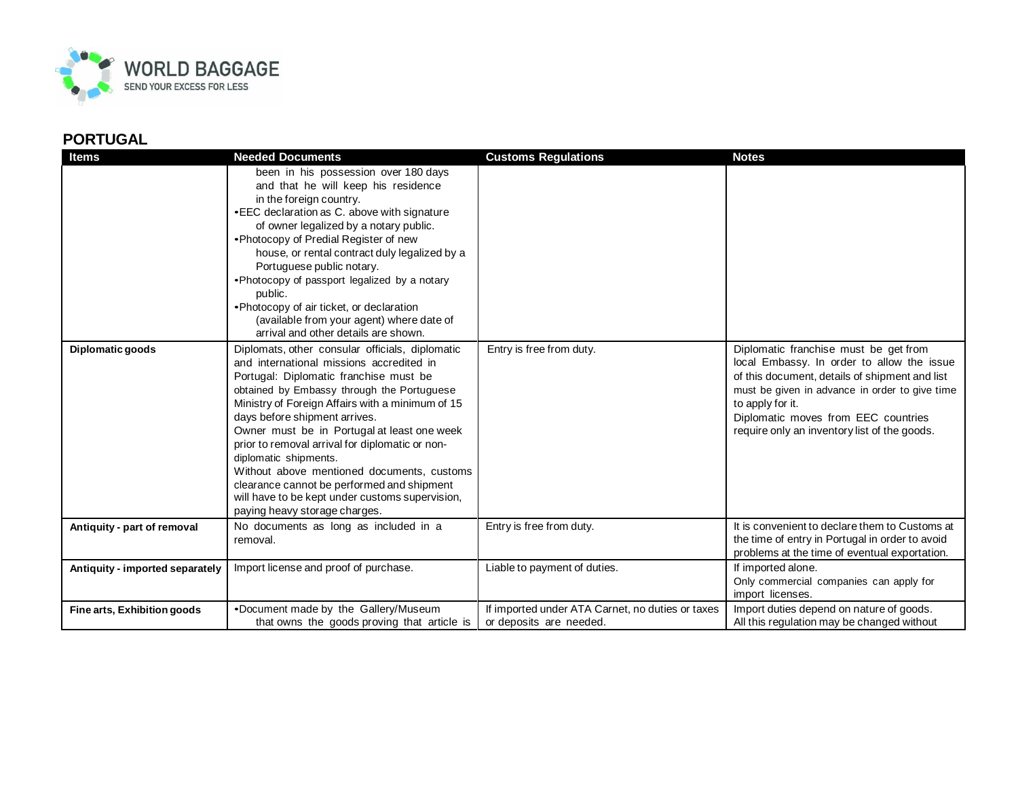

| <b>Items</b>                    | <b>Needed Documents</b>                                                                                                                                                                                                                                                                                                                                                                                                                                                                                                                                                             | <b>Customs Regulations</b>                                                  | <b>Notes</b>                                                                                                                                                                                                                                                                                       |
|---------------------------------|-------------------------------------------------------------------------------------------------------------------------------------------------------------------------------------------------------------------------------------------------------------------------------------------------------------------------------------------------------------------------------------------------------------------------------------------------------------------------------------------------------------------------------------------------------------------------------------|-----------------------------------------------------------------------------|----------------------------------------------------------------------------------------------------------------------------------------------------------------------------------------------------------------------------------------------------------------------------------------------------|
|                                 | been in his possession over 180 days<br>and that he will keep his residence<br>in the foreign country.<br>• EEC declaration as C. above with signature<br>of owner legalized by a notary public.<br>• Photocopy of Predial Register of new<br>house, or rental contract duly legalized by a<br>Portuguese public notary.<br>•Photocopy of passport legalized by a notary<br>public.<br>• Photocopy of air ticket, or declaration<br>(available from your agent) where date of<br>arrival and other details are shown.                                                               |                                                                             |                                                                                                                                                                                                                                                                                                    |
| Diplomatic goods                | Diplomats, other consular officials, diplomatic<br>and international missions accredited in<br>Portugal: Diplomatic franchise must be<br>obtained by Embassy through the Portuguese<br>Ministry of Foreign Affairs with a minimum of 15<br>days before shipment arrives.<br>Owner must be in Portugal at least one week<br>prior to removal arrival for diplomatic or non-<br>diplomatic shipments.<br>Without above mentioned documents, customs<br>clearance cannot be performed and shipment<br>will have to be kept under customs supervision,<br>paying heavy storage charges. | Entry is free from duty.                                                    | Diplomatic franchise must be get from<br>local Embassy. In order to allow the issue<br>of this document, details of shipment and list<br>must be given in advance in order to give time<br>to apply for it.<br>Diplomatic moves from EEC countries<br>require only an inventory list of the goods. |
| Antiquity - part of removal     | No documents as long as included in a<br>removal.                                                                                                                                                                                                                                                                                                                                                                                                                                                                                                                                   | Entry is free from duty.                                                    | It is convenient to declare them to Customs at<br>the time of entry in Portugal in order to avoid<br>problems at the time of eventual exportation.                                                                                                                                                 |
| Antiquity - imported separately | Import license and proof of purchase.                                                                                                                                                                                                                                                                                                                                                                                                                                                                                                                                               | Liable to payment of duties.                                                | If imported alone.<br>Only commercial companies can apply for<br>import licenses.                                                                                                                                                                                                                  |
| Fine arts, Exhibition goods     | •Document made by the Gallery/Museum<br>that owns the goods proving that article is                                                                                                                                                                                                                                                                                                                                                                                                                                                                                                 | If imported under ATA Carnet, no duties or taxes<br>or deposits are needed. | Import duties depend on nature of goods.<br>All this regulation may be changed without                                                                                                                                                                                                             |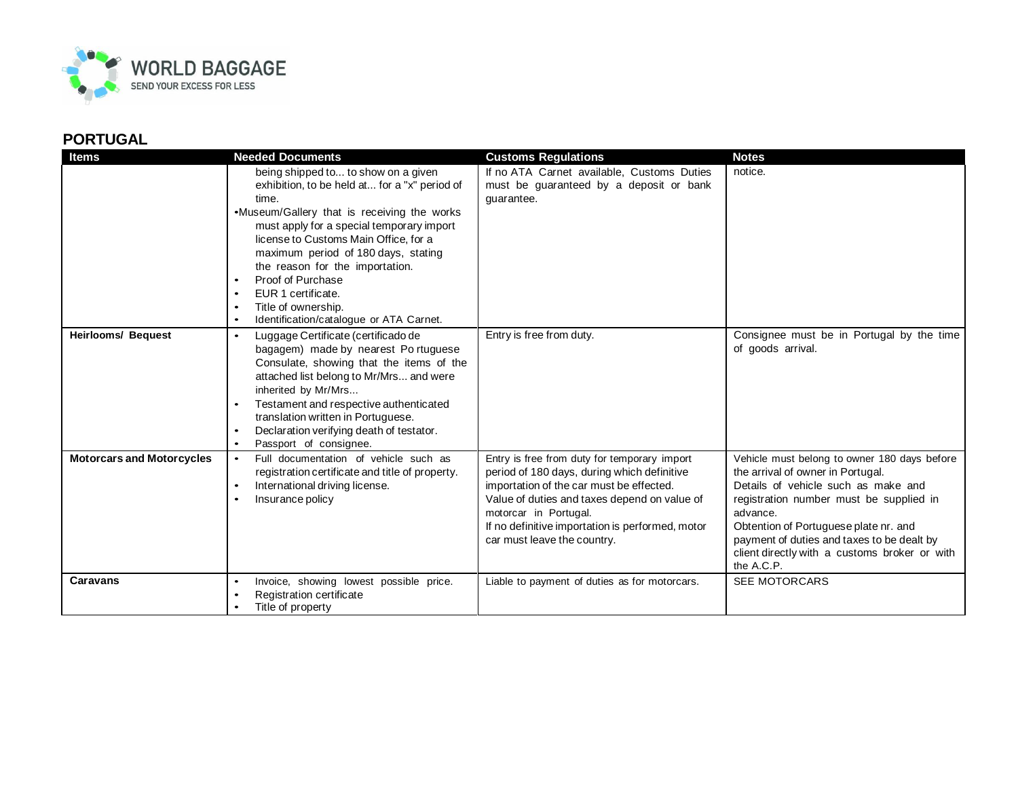

| <b>Items</b>                     | <b>Needed Documents</b>                                                                                                                                                                                                                                                                                                                                                                                                                                                       | <b>Customs Regulations</b>                                                                                                                                                                                                                                                                          | <b>Notes</b>                                                                                                                                                                                                                                                                                                                          |
|----------------------------------|-------------------------------------------------------------------------------------------------------------------------------------------------------------------------------------------------------------------------------------------------------------------------------------------------------------------------------------------------------------------------------------------------------------------------------------------------------------------------------|-----------------------------------------------------------------------------------------------------------------------------------------------------------------------------------------------------------------------------------------------------------------------------------------------------|---------------------------------------------------------------------------------------------------------------------------------------------------------------------------------------------------------------------------------------------------------------------------------------------------------------------------------------|
|                                  | being shipped to to show on a given<br>exhibition, to be held at for a "x" period of<br>time.<br>•Museum/Gallery that is receiving the works<br>must apply for a special temporary import<br>license to Customs Main Office, for a<br>maximum period of 180 days, stating<br>the reason for the importation.<br>Proof of Purchase<br>$\bullet$<br>EUR 1 certificate.<br>$\bullet$<br>Title of ownership.<br>$\bullet$<br>Identification/catalogue or ATA Carnet.<br>$\bullet$ | If no ATA Carnet available, Customs Duties<br>must be guaranteed by a deposit or bank<br>guarantee.                                                                                                                                                                                                 | notice.                                                                                                                                                                                                                                                                                                                               |
| <b>Heirlooms/ Bequest</b>        | Luggage Certificate (certificado de<br>$\bullet$<br>bagagem) made by nearest Portuguese<br>Consulate, showing that the items of the<br>attached list belong to Mr/Mrs and were<br>inherited by Mr/Mrs<br>Testament and respective authenticated<br>$\bullet$<br>translation written in Portuguese.<br>Declaration verifying death of testator.<br>$\bullet$<br>Passport of consignee.<br>$\bullet$                                                                            | Entry is free from duty.                                                                                                                                                                                                                                                                            | Consignee must be in Portugal by the time<br>of goods arrival.                                                                                                                                                                                                                                                                        |
| <b>Motorcars and Motorcycles</b> | Full documentation of vehicle such as<br>$\bullet$<br>registration certificate and title of property.<br>International driving license.<br>$\bullet$<br>Insurance policy<br>$\bullet$                                                                                                                                                                                                                                                                                         | Entry is free from duty for temporary import<br>period of 180 days, during which definitive<br>importation of the car must be effected.<br>Value of duties and taxes depend on value of<br>motorcar in Portugal.<br>If no definitive importation is performed, motor<br>car must leave the country. | Vehicle must belong to owner 180 days before<br>the arrival of owner in Portugal.<br>Details of vehicle such as make and<br>registration number must be supplied in<br>advance.<br>Obtention of Portuguese plate nr. and<br>payment of duties and taxes to be dealt by<br>client directly with a customs broker or with<br>the A.C.P. |
| <b>Caravans</b>                  | Invoice, showing lowest possible price.<br>$\bullet$<br>Registration certificate<br>$\bullet$<br>Title of property                                                                                                                                                                                                                                                                                                                                                            | Liable to payment of duties as for motorcars.                                                                                                                                                                                                                                                       | SEE MOTORCARS                                                                                                                                                                                                                                                                                                                         |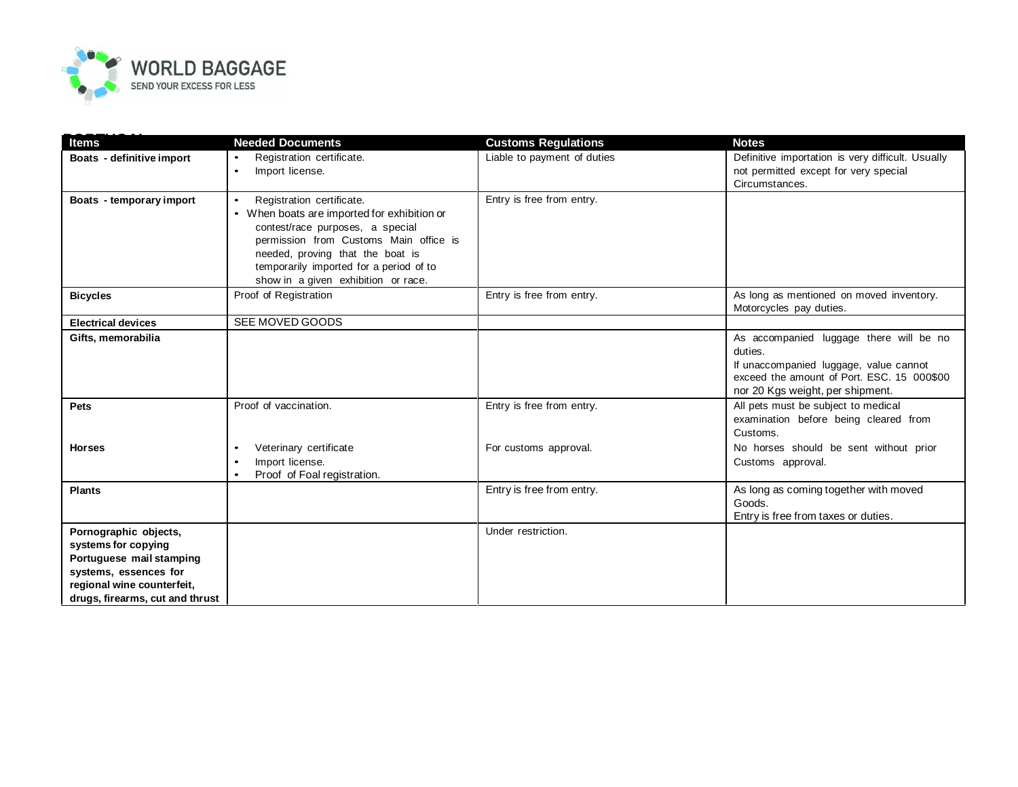

| <b>Items</b>                                                                                                                                                       | <b>Needed Documents</b>                                                                                                                                                                                                                                                                   | <b>Customs Regulations</b>  | <b>Notes</b>                                                                                                                                                                   |
|--------------------------------------------------------------------------------------------------------------------------------------------------------------------|-------------------------------------------------------------------------------------------------------------------------------------------------------------------------------------------------------------------------------------------------------------------------------------------|-----------------------------|--------------------------------------------------------------------------------------------------------------------------------------------------------------------------------|
| Boats - definitive import                                                                                                                                          | Registration certificate.<br>$\bullet$<br>Import license.<br>$\bullet$                                                                                                                                                                                                                    | Liable to payment of duties | Definitive importation is very difficult. Usually<br>not permitted except for very special<br>Circumstances.                                                                   |
| Boats - temporary import                                                                                                                                           | Registration certificate.<br>$\bullet$<br>• When boats are imported for exhibition or<br>contest/race purposes, a special<br>permission from Customs Main office is<br>needed, proving that the boat is<br>temporarily imported for a period of to<br>show in a given exhibition or race. | Entry is free from entry.   |                                                                                                                                                                                |
| <b>Bicycles</b>                                                                                                                                                    | Proof of Registration                                                                                                                                                                                                                                                                     | Entry is free from entry.   | As long as mentioned on moved inventory.<br>Motorcycles pay duties.                                                                                                            |
| <b>Electrical devices</b>                                                                                                                                          | SEE MOVED GOODS                                                                                                                                                                                                                                                                           |                             |                                                                                                                                                                                |
| Gifts. memorabilia                                                                                                                                                 |                                                                                                                                                                                                                                                                                           |                             | As accompanied luggage there will be no<br>duties.<br>If unaccompanied luggage, value cannot<br>exceed the amount of Port. ESC, 15 000\$00<br>nor 20 Kgs weight, per shipment. |
| Pets                                                                                                                                                               | Proof of vaccination.                                                                                                                                                                                                                                                                     | Entry is free from entry.   | All pets must be subject to medical<br>examination before being cleared from<br>Customs.                                                                                       |
| <b>Horses</b>                                                                                                                                                      | Veterinary certificate<br>Import license.<br>$\bullet$<br>Proof of Foal registration.<br>$\bullet$                                                                                                                                                                                        | For customs approval.       | No horses should be sent without prior<br>Customs approval.                                                                                                                    |
| <b>Plants</b>                                                                                                                                                      |                                                                                                                                                                                                                                                                                           | Entry is free from entry.   | As long as coming together with moved<br>Goods.<br>Entry is free from taxes or duties.                                                                                         |
| Pornographic objects,<br>systems for copying<br>Portuguese mail stamping<br>systems, essences for<br>regional wine counterfeit,<br>drugs, firearms, cut and thrust |                                                                                                                                                                                                                                                                                           | Under restriction.          |                                                                                                                                                                                |